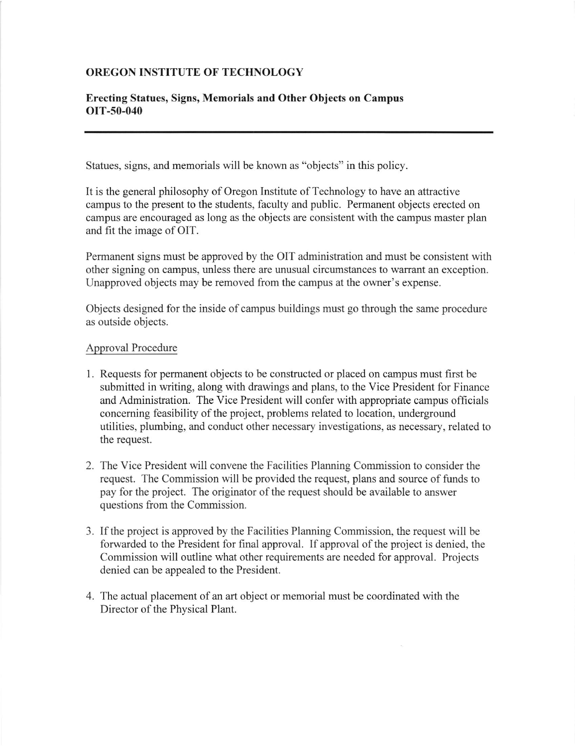## OREGON INSTITUTE OF TECHNOLOGY

## Erecting Statues, Signs, Memorials and Other Objects on Campus OIT-50-040

Statues, signs, and memorials will be known as "objects" in this policy.

It is the general philosophy of Oregon Institute of Technology to have an attractive campus to the present to the students, faculty and public. Permanent objects erected on campus are encouraged as long as the objects are consistent with the campus master plan and fit the image of OIT.

Permanent signs must be approved by the OIT administration and must be consistent with other signing on campus, unless there are unusual circumstances to warant an exception. Unapproved objects may be removed from the campus at the owner's expense.

Objects designed for the inside of campus buildings must go through the same procedure as outside objects.

## Approval Procedure

- 1. Requests for permanent objects to be constructed or placed on campus must first be submitted in writing, along with drawings and plans, to the Vice President for Finance and Administration. The Vice President will confer with appropriate campus officials concerning feasibility of the project, problems related to location, underground utilities, plumbing, and conduct other necessary investigations, as necessary, related to the request.
- 2. The Vice President will convene the Facilities Planning Commission to consider the request. The Commission will be provided the request, plans and source of funds to pay for the project. The originator of the request should be available to answer questions from the Commission.
- 3. If the project is approved by the Facilities Planning Commission, the request will be forwarded to the President for final approval. If approval of the project is denied, the Commission will outline what other requirements are needed for approval. Projects denied can be appealed to the President.
- 4. The actual placement of an art object or memorial must be coordinated with the Director of the Physical Plant.